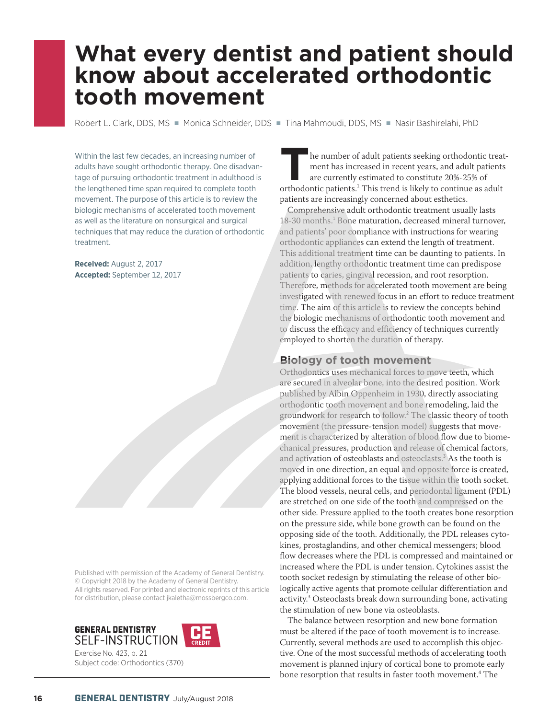# **What every dentist and patient should know about accelerated orthodontic tooth movement**

Robert L. Clark, DDS, MS · Monica Schneider, DDS · Tina Mahmoudi, DDS, MS · Nasir Bashirelahi, PhD

Within the last few decades, an increasing number of adults have sought orthodontic therapy. One disadvantage of pursuing orthodontic treatment in adulthood is the lengthened time span required to complete tooth movement. The purpose of this article is to review the biologic mechanisms of accelerated tooth movement as well as the literature on nonsurgical and surgical techniques that may reduce the duration of orthodontic treatment.

**Received:** August 2, 2017 **Accepted:** September 12, 2017

Published with permission of the Academy of General Dentistry. © Copyright 2018 by the Academy of General Dentistry. All rights reserved. For printed and electronic reprints of this article for distribution, please contact jkaletha@mossbergco.com.





Exercise No. 423, p. 21 Subject code: Orthodontics (370)

**THE ENTIRE IS A THE ISLAM ISLAM THE ISLAM ISLAM TO THE NUMBER OF STAR THE ATTENT OF STAR THE CONTROLLER THE SET OF STAR THE STAR THE STAR THE STAR THE STAR THE STAR THE STAR THE STAR THE STAR THE STAR THE STAR THE STAR TH** ment has increased in recent years, and adult patients are currently estimated to constitute 20%-25% of orthodontic patients.<sup>1</sup> This trend is likely to continue as adult patients are increasingly concerned about esthetics.

Comprehensive adult orthodontic treatment usually lasts 18-30 months.<sup>1</sup> Bone maturation, decreased mineral turnover, and patients' poor compliance with instructions for wearing orthodontic appliances can extend the length of treatment. This additional treatment time can be daunting to patients. In addition, lengthy orthodontic treatment time can predispose patients to caries, gingival recession, and root resorption. Therefore, methods for accelerated tooth movement are being investigated with renewed focus in an effort to reduce treatment time. The aim of this article is to review the concepts behind the biologic mechanisms of orthodontic tooth movement and to discuss the efficacy and efficiency of techniques currently employed to shorten the duration of therapy.

## **Biology of tooth movement**

Orthodontics uses mechanical forces to move teeth, which are secured in alveolar bone, into the desired position. Work published by Albin Oppenheim in 1930, directly associating orthodontic tooth movement and bone remodeling, laid the groundwork for research to follow.<sup>2</sup> The classic theory of tooth movement (the pressure-tension model) suggests that movement is characterized by alteration of blood flow due to biomechanical pressures, production and release of chemical factors, and activation of osteoblasts and  $o$ steoclasts.<sup>3</sup> As the tooth is moved in one direction, an equal and opposite force is created, applying additional forces to the tissue within the tooth socket. The blood vessels, neural cells, and periodontal ligament (PDL) are stretched on one side of the tooth and compressed on the other side. Pressure applied to the tooth creates bone resorption on the pressure side, while bone growth can be found on the opposing side of the tooth. Additionally, the PDL releases cytokines, prostaglandins, and other chemical messengers; blood flow decreases where the PDL is compressed and maintained or increased where the PDL is under tension. Cytokines assist the tooth socket redesign by stimulating the release of other biologically active agents that promote cellular differentiation and activity.<sup>3</sup> Osteoclasts break down surrounding bone, activating the stimulation of new bone via osteoblasts.

The balance between resorption and new bone formation must be altered if the pace of tooth movement is to increase. Currently, several methods are used to accomplish this objective. One of the most successful methods of accelerating tooth movement is planned injury of cortical bone to promote early bone resorption that results in faster tooth movement.<sup>4</sup> The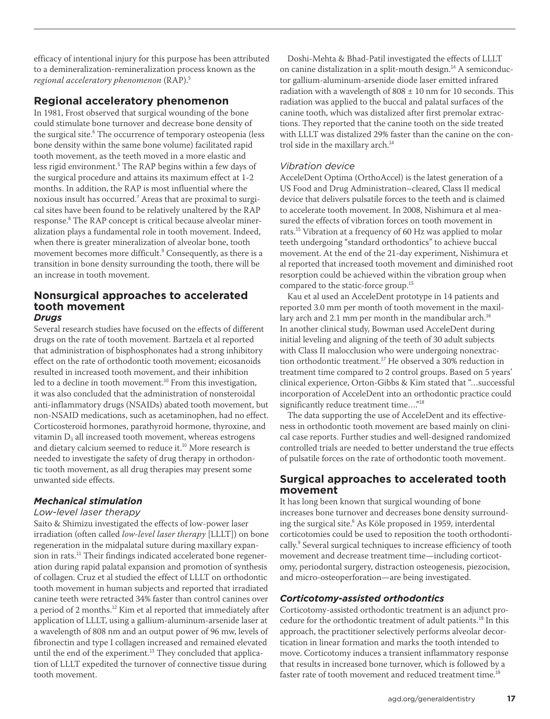efficacy of intentional injury for this purpose has been attributed to a demineralization-remineralization process known as the *regional acceleratory phenomenon* (RAP).<sup>5</sup>

# **Regional acceleratory phenomenon**

In 1981, Frost observed that surgical wounding of the bone could stimulate bone turnover and decrease bone density of the surgical site.<sup>6</sup> The occurrence of temporary osteopenia (less bone density within the same bone volume) facilitated rapid tooth movement, as the teeth moved in a more elastic and less rigid environment.<sup>5</sup> The RAP begins within a few days of the surgical procedure and attains its maximum effect at 1-2 months. In addition, the RAP is most influential where the noxious insult has occurred.<sup>7</sup> Areas that are proximal to surgical sites have been found to be relatively unaltered by the RAP response.<sup>8</sup> The RAP concept is critical because alveolar mineralization plays a fundamental role in tooth movement. Indeed, when there is greater mineralization of alveolar bone, tooth movement becomes more difficult.<sup>9</sup> Consequently, as there is a transition in bone density surrounding the tooth, there will be an increase in tooth movement.

#### **Nonsurgical approaches to accelerated tooth movement** *Drugs*

Several research studies have focused on the effects of different drugs on the rate of tooth movement. Bartzela et al reported that administration of bisphosphonates had a strong inhibitory effect on the rate of orthodontic tooth movement; eicosanoids resulted in increased tooth movement, and their inhibition led to a decline in tooth movement.<sup>10</sup> From this investigation, it was also concluded that the administration of nonsteroidal anti-inflammatory drugs (NSAIDs) abated tooth movement, but non-NSAID medications, such as acetaminophen, had no effect. Corticosteroid hormones, parathyroid hormone, thyroxine, and vitamin  $D_3$  all increased tooth movement, whereas estrogens and dietary calcium seemed to reduce it.<sup>10</sup> More research is needed to investigate the safety of drug therapy in orthodontic tooth movement, as all drug therapies may present some unwanted side effects.

# *Mechanical stimulation*

## *Low-level laser therapy*

Saito & Shimizu investigated the effects of low-power laser irradiation (often called *low-level laser therapy* [LLLT]) on bone regeneration in the midpalatal suture during maxillary expansion in rats.<sup>11</sup> Their findings indicated accelerated bone regeneration during rapid palatal expansion and promotion of synthesis of collagen. Cruz et al studied the effect of LLLT on orthodontic tooth movement in human subjects and reported that irradiated canine teeth were retracted 34% faster than control canines over a period of 2 months.<sup>12</sup> Kim et al reported that immediately after application of LLLT, using a gallium-aluminum-arsenide laser at a wavelength of 808 nm and an output power of 96 mw, levels of fibronectin and type I collagen increased and remained elevated until the end of the experiment.<sup>13</sup> They concluded that application of LLLT expedited the turnover of connective tissue during tooth movement.

Doshi-Mehta & Bhad-Patil investigated the effects of LLLT on canine distalization in a split-mouth design.<sup>14</sup> A semiconductor gallium-aluminum-arsenide diode laser emitted infrared radiation with a wavelength of  $808 \pm 10$  nm for 10 seconds. This radiation was applied to the buccal and palatal surfaces of the canine tooth, which was distalized after first premolar extractions. They reported that the canine tooth on the side treated with LLLT was distalized 29% faster than the canine on the control side in the maxillary arch.<sup>14</sup>

## *Vibration device*

AcceleDent Optima (OrthoAccel) is the latest generation of a US Food and Drug Administration–cleared, Class II medical device that delivers pulsatile forces to the teeth and is claimed to accelerate tooth movement. In 2008, Nishimura et al measured the effects of vibration forces on tooth movement in rats.<sup>15</sup> Vibration at a frequency of 60 Hz was applied to molar teeth undergoing "standard orthodontics" to achieve buccal movement. At the end of the 21-day experiment, Nishimura et al reported that increased tooth movement and diminished root resorption could be achieved within the vibration group when compared to the static-force group.<sup>15</sup>

Kau et al used an AcceleDent prototype in 14 patients and reported 3.0 mm per month of tooth movement in the maxillary arch and 2.1 mm per month in the mandibular arch.<sup>16</sup> In another clinical study, Bowman used AcceleDent during initial leveling and aligning of the teeth of 30 adult subjects with Class II malocclusion who were undergoing nonextraction orthodontic treatment.<sup>17</sup> He observed a 30% reduction in treatment time compared to 2 control groups. Based on 5 years' clinical experience, Orton-Gibbs & Kim stated that "…successful incorporation of AcceleDent into an orthodontic practice could significantly reduce treatment time…."<sup>18</sup>

The data supporting the use of AcceleDent and its effectiveness in orthodontic tooth movement are based mainly on clinical case reports. Further studies and well-designed randomized controlled trials are needed to better understand the true effects of pulsatile forces on the rate of orthodontic tooth movement.

# **Surgical approaches to accelerated tooth movement**

It has long been known that surgical wounding of bone increases bone turnover and decreases bone density surrounding the surgical site.<sup>6</sup> As Köle proposed in 1959, interdental corticotomies could be used to reposition the tooth orthodontically.<sup>9</sup> Several surgical techniques to increase efficiency of tooth movement and decrease treatment time—including corticotomy, periodontal surgery, distraction osteogenesis, piezocision, and micro-osteoperforation—are being investigated.

# *Corticotomy-assisted orthodontics*

Corticotomy-assisted orthodontic treatment is an adjunct procedure for the orthodontic treatment of adult patients.<sup>19</sup> In this approach, the practitioner selectively performs alveolar decortication in linear formation and marks the tooth intended to move. Corticotomy induces a transient inflammatory response that results in increased bone turnover, which is followed by a faster rate of tooth movement and reduced treatment time.<sup>19</sup>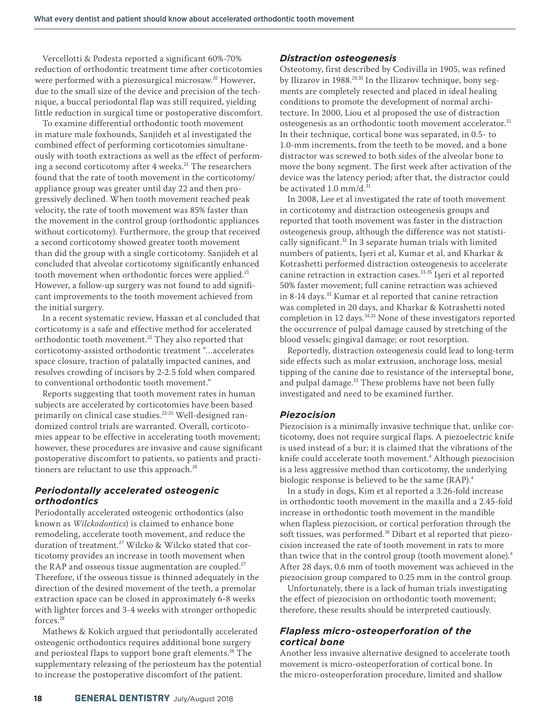Vercellotti & Podesta reported a significant 60%-70% reduction of orthodontic treatment time after corticotomies were performed with a piezosurgical microsaw.<sup>20</sup> However, due to the small size of the device and precision of the technique, a buccal periodontal flap was still required, yielding little reduction in surgical time or postoperative discomfort.

To examine differential orthodontic tooth movement in mature male foxhounds, Sanjideh et al investigated the combined effect of performing corticotomies simultaneously with tooth extractions as well as the effect of performing a second corticotomy after 4 weeks.<sup>21</sup> The researchers found that the rate of tooth movement in the corticotomy/ appliance group was greater until day 22 and then progressively declined. When tooth movement reached peak velocity, the rate of tooth movement was 85% faster than the movement in the control group (orthodontic appliances without corticotomy). Furthermore, the group that received a second corticotomy showed greater tooth movement than did the group with a single corticotomy. Sanjideh et al concluded that alveolar corticotomy significantly enhanced tooth movement when orthodontic forces were applied.<sup>21</sup> However, a follow-up surgery was not found to add significant improvements to the tooth movement achieved from the initial surgery.

In a recent systematic review, Hassan et al concluded that corticotomy is a safe and effective method for accelerated orthodontic tooth movement.<sup>22</sup> They also reported that corticotomy-assisted orthodontic treatment "…accelerates space closure, traction of palatally impacted canines, and resolves crowding of incisors by 2-2.5 fold when compared to conventional orthodontic tooth movement."

Reports suggesting that tooth movement rates in human subjects are accelerated by corticotomies have been based primarily on clinical case studies.<sup>23-25</sup> Well-designed randomized control trials are warranted. Overall, corticotomies appear to be effective in accelerating tooth movement; however, these procedures are invasive and cause significant postoperative discomfort to patients, so patients and practitioners are reluctant to use this approach.<sup>26</sup>

#### *Periodontally accelerated osteogenic orthodontics*

Periodontally accelerated osteogenic orthodontics (also known as *Wilckodontics*) is claimed to enhance bone remodeling, accelerate tooth movement, and reduce the duration of treatment.<sup>27</sup> Wilcko & Wilcko stated that corticotomy provides an increase in tooth movement when the RAP and osseous tissue augmentation are coupled.<sup>27</sup> Therefore, if the osseous tissue is thinned adequately in the direction of the desired movement of the teeth, a premolar extraction space can be closed in approximately 6-8 weeks with lighter forces and 3-4 weeks with stronger orthopedic forces.<sup>28</sup>

Mathews & Kokich argued that periodontally accelerated osteogenic orthodontics requires additional bone surgery and periosteal flaps to support bone graft elements.<sup>26</sup> The supplementary releasing of the periosteum has the potential to increase the postoperative discomfort of the patient.

## *Distraction osteogenesis*

Osteotomy, first described by Codivilla in 1905, was refined by Ilizarov in 1988.<sup>29,30</sup> In the Ilizarov technique, bony segments are completely resected and placed in ideal healing conditions to promote the development of normal architecture. In 2000, Liou et al proposed the use of distraction osteogenesis as an orthodontic tooth movement accelerator.<sup>31</sup> In their technique, cortical bone was separated, in 0.5- to 1.0-mm increments, from the teeth to be moved, and a bone distractor was screwed to both sides of the alveolar bone to move the bony segment. The first week after activation of the device was the latency period; after that, the distractor could be activated 1.0 mm/d. $31$ 

In 2008, Lee et al investigated the rate of tooth movement in corticotomy and distraction osteogenesis groups and reported that tooth movement was faster in the distraction osteogenesis group, although the difference was not statistically significant.<sup>32</sup> In 3 separate human trials with limited numbers of patients, Işeri et al, Kumar et al, and Kharkar & Kotrashetti performed distraction osteogenesis to accelerate canine retraction in extraction cases.<sup>33-35</sup> Işeri et al reported 50% faster movement; full canine retraction was achieved in 8-14 days.<sup>33</sup> Kumar et al reported that canine retraction was completed in 20 days, and Kharkar & Kotrashetti noted completion in 12 days.<sup>34,35</sup> None of these investigators reported the occurrence of pulpal damage caused by stretching of the blood vessels; gingival damage; or root resorption.

Reportedly, distraction osteogenesis could lead to long-term side effects such as molar extrusion, anchorage loss, mesial tipping of the canine due to resistance of the interseptal bone, and pulpal damage.<sup>33</sup> These problems have not been fully investigated and need to be examined further.

## *Piezocision*

Piezocision is a minimally invasive technique that, unlike corticotomy, does not require surgical flaps. A piezoelectric knife is used instead of a bur; it is claimed that the vibrations of the knife could accelerate tooth movement.<sup>4</sup> Although piezocision is a less aggressive method than corticotomy, the underlying biologic response is believed to be the same (RAP).<sup>4</sup>

In a study in dogs, Kim et al reported a 3.26-fold increase in orthodontic tooth movement in the maxilla and a 2.45-fold increase in orthodontic tooth movement in the mandible when flapless piezocision, or cortical perforation through the soft tissues, was performed.<sup>36</sup> Dibart et al reported that piezocision increased the rate of tooth movement in rats to more than twice that in the control group (tooth movement alone).<sup>4</sup> After 28 days, 0.6 mm of tooth movement was achieved in the piezocision group compared to 0.25 mm in the control group.

Unfortunately, there is a lack of human trials investigating the effect of piezocision on orthodontic tooth movement; therefore, these results should be interpreted cautiously.

#### *Flapless micro-osteoperforation of the cortical bone*

Another less invasive alternative designed to accelerate tooth movement is micro-osteoperforation of cortical bone. In the micro-osteoperforation procedure, limited and shallow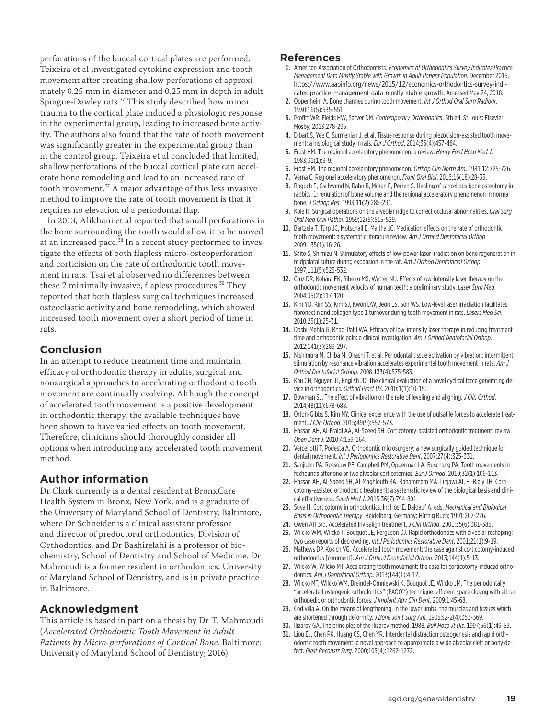perforations of the buccal cortical plates are performed. Teixeira et al investigated cytokine expression and tooth movement after creating shallow perforations of approximately 0.25 mm in diameter and 0.25 mm in depth in adult Sprague-Dawley rats.<sup>37</sup> This study described how minor trauma to the cortical plate induced a physiologic response in the experimental group, leading to increased bone activity. The authors also found that the rate of tooth movement was significantly greater in the experimental group than in the control group. Teixeira et al concluded that limited, shallow perforations of the buccal cortical plate can accelerate bone remodeling and lead to an increased rate of tooth movement.<sup>37</sup> A major advantage of this less invasive method to improve the rate of tooth movement is that it requires no elevation of a periodontal flap.

In 2013, Alikhani et al reported that small perforations in the bone surrounding the tooth would allow it to be moved at an increased pace.<sup>38</sup> In a recent study performed to investigate the effects of both flapless micro-osteoperforation and corticision on the rate of orthodontic tooth movement in rats, Tsai et al observed no differences between these 2 minimally invasive, flapless procedures.<sup>39</sup> They reported that both flapless surgical techniques increased osteoclastic activity and bone remodeling, which showed increased tooth movement over a short period of time in rats.

# **Conclusion**

In an attempt to reduce treatment time and maintain efficacy of orthodontic therapy in adults, surgical and nonsurgical approaches to accelerating orthodontic tooth movement are continually evolving. Although the concept of accelerated tooth movement is a positive development in orthodontic therapy, the available techniques have been shown to have varied effects on tooth movement. Therefore, clinicians should thoroughly consider all options when introducing any accelerated tooth movement method.

# **Author information**

Dr Clark currently is a dental resident at BronxCare Health System in Bronx, New York, and is a graduate of the University of Maryland School of Dentistry, Baltimore, where Dr Schneider is a clinical assistant professor and director of predoctoral orthodontics, Division of Orthodontics, and Dr Bashirelahi is a professor of biochemistry, School of Dentistry and School of Medicine. Dr Mahmoudi is a former resident in orthodontics, University of Maryland School of Dentistry, and is in private practice in Baltimore.

# **Acknowledgment**

This article is based in part on a thesis by Dr T. Mahmoudi (*Accelerated Orthodontic Tooth Movement in Adult Patients by Micro-perforations of Cortical Bone*. Baltimore: University of Maryland School of Dentistry; 2016).

## **References**

- 1. American Association of Orthodontists. *Economics of Orthodontics Survey Indicates Practice Management Data Mostly Stable with Growth in Adult Patient Population*. December 2015. https://www.aaoinfo.org/news/2015/12/economics-orthodontics-survey-indicates-practice-management-data-mostly-stable-growth. Accessed May 24, 2018.
- 2. Oppenheim A. Bone changes during tooth movement. *Int J Orthod Oral Surg Radiogr*. 1930;16(5):535-551.
- 3. Profitt WR, Fields HW, Sarver DM. *Contemporary Orthodontics*. 5th ed. St Louis: Elsevier Mosby; 2013:278-295.
- 4. Dibart S, Yee C, Surmenian J, et al. Tissue response during piezocision-assisted tooth movement: a histological study in rats. *Eur J Orthod*. 2014;36(4):457-464.
- 5. Frost HM. The regional acceleratory phenomenon: a review. *Henry Ford Hosp Med J*. 1983;31(1):3-9.
- 6. Frost HM. The regional acceleratory phenomenon. *Orthop Clin North Am*. 1981;12:725-726.
- 7. Verna C. Regional acceleratory phenomenon. *Front Oral Biol*. 2016;16(18):28-35.
- 8. Bogoch E, Gschwend N, Rahn B, Moran E, Perren S. Healing of cancellous bone osteotomy in rabbits, 1: regulation of bone volume and the regional acceleratory phenomenon in normal bone. *J Orthop Res*. 1993;11(2):285-291.
- 9. Köle H. Surgical operations on the alveolar ridge to correct occlusal abnormalities. *Oral Surg Oral Med Oral Pathol*. 1959;12(5):515-529.
- 10. Bartzela T, Türp JC, Motschall E, Maltha JC. Medication effects on the rate of orthodontic tooth movement: a systematic literature review. *Am J Orthod Dentofacial Orthop*. 2009;135(1):16-26.
- 11. Saito S, Shimizu N. Stimulatory effects of low-power laser irradiation on bone regeneration in midpalatal suture during expansion in the rat. *Am J Orthod Dentofacial Orthop*. 1997;111(5):525-532.
- 12. Cruz DR, Kohara EK, Ribeiro MS, Wetter NU. Effects of low-intensity laser therapy on the orthodontic movement velocity of human teeth: a preliminary study. *Laser Surg Med*. 2004;35(2):117-120
- 13. Kim YD, Kim SS, Kim SJ, Kwon DW, Jeon ES, Son WS. Low-level laser irradiation facilitates fibronectin and collagen type 1 turnover during tooth movement in rats. *Lasers Med Sci*. 2010;25(1):25-31.
- 14. Doshi-Mehta G, Bhad-Patil WA. Efficacy of low-intensity laser therapy in reducing treatment time and orthodontic pain: a clinical investigation. *Am J Orthod Dentofacial Orthop*. 2012;141(3):289-297.
- 15. Nishimura M, Chiba M, Ohashi T, et al. Periodontal tissue activation by vibration: intermittent stimulation by resonance vibration accelerates experimental tooth movement in rats. *Am J Orthod Dentofacial Orthop*. 2008;133(4):575-583.
- 16. Kau CH, Nguyen JT, English JD. The clinical evaluation of a novel cyclical force generating device in orthodontics. *Orthod Pract US*. 2010;1(1):10-15.
- 17. Bowman SJ. The effect of vibration on the rate of leveling and aligning. *J Clin Orthod*. 2014;48(11):678-688.
- 18. Orton-Gibbs S, Kim NY. Clinical experience with the use of pulsatile forces to accelerate treatment. *J Clin Orthod*. 2015;49(9):557-573.
- 19. Hassan AH, Al-Fraidi AA, Al-Saeed SH. Corticotomy-assisted orthodontic treatment: review. *Open Dent J*. 2010;4:159-164.
- 20. Vercellotti T, Podesta A. Orthodontic microsurgery: a new surgically guided technique for dental movement. *Int J Periodontics Restorative Dent*. 2007;27(4):325-331.
- 21. Sanjideh PA, Rossouw PE, Campbell PM, Opperman LA, Buschang PA. Tooth movements in foxhounds after one or two alveolar corticotomies. *Eur J Orthod*. 2010;32(1):106-113.
- 22. Hassan AH, Al-Saeed SH, Al-Maghlouth BA, Bahammam MA, Linjawi AI, El-Bialy TH. Corticotomy-assisted orthodontic treatment: a systematic review of the biological basis and clinical effectiveness. *Saudi Med J*. 2015;36(7):794-801.
- 23. Suya H. Corticotomy in orthodontics. In: Hösl E, Baldauf A, eds. *Mechanical and Biological Basis in Orthodontic Therapy*. Heidelberg, Germany: Hüthig Buch; 1991:207-226.
- 24. Owen AH 3rd. Accelerated Invisalign treatment. *J Clin Orthod*. 2001;35(6):381-385.
- 25. Wilcko WM, Wilcko T, Bouquot JE, Ferguson DJ, Rapid orthodontics with alveolar reshaping: two case reports of decrowding. *Int J Periodontics Restorative Dent*. 2001;21(1):9-19.
- 26. Mathews DP, Kokich VG. Accelerated tooth movement: the case against corticotomy-induced orthodontics [comment]. *Am J Orthod Dentofacial Orthop*. 2013;144(1):5-13.
- 27. Wilcko W, Wilcko MT. Accelerating tooth movement: the case for corticotomy-induced orthodontics. *Am J Dentofacial Orthop*. 2013;144(1):4-12.
- 28. Wilcko MT, Wilcko WM, Breindel-Omniewski K, Bouquot JE, Wilcko JM. The periodontally "accelerated osteogenic orthodontics" (PAOO™) technique: efficient space closing with either orthopedic or orthodontic forces. *J Implant Adv Clin Dent*. 2009;1:45-68.
- 29. Codivilla A. On the means of lengthening, in the lower limbs, the muscles and tissues which are shortened through deformity. *J Bone Joint Surg Am*. 1905;s2-2(4):353-369.
- 30. Ilizarov GA. The principles of the Ilizarov method. 1988. *Bull Hosp Jt Dis*. 1997;56(1):49-53.
- 31. Liou EJ, Chen PK, Huang CS, Chen YR. Interdental distraction osteogenesis and rapid orthodontic tooth movement: a novel approach to approximate a wide alveolar cleft or bony defect. *Plast Reconstr Surg*. 2000;105(4):1262-1272.